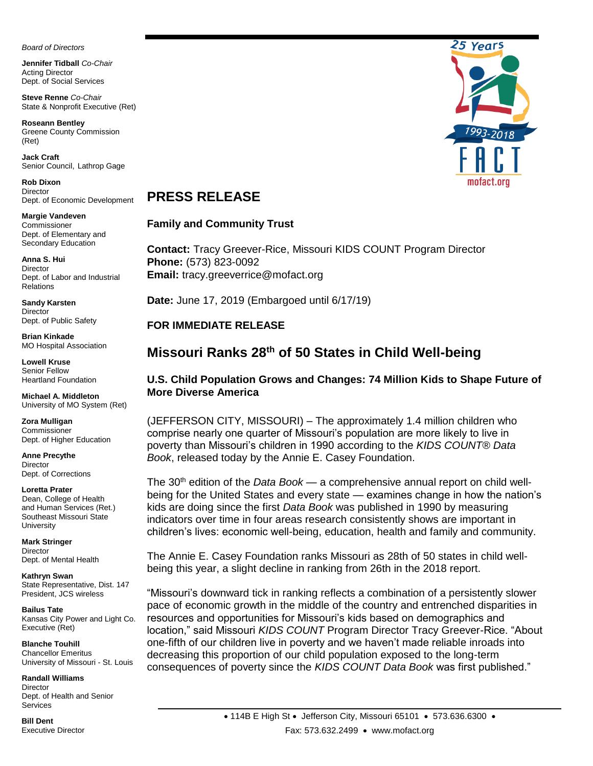*Board of Directors*

 **Jennifer Tidball** *Co-Chair* Acting Director Dept. of Social Services

 **Steve Renne** *Co-Chair* State & Nonprofit Executive (Ret)

 **Roseann Bentley** Greene County Commission (Ret)

**Jack Craft** Senior Council, Lathrop Gage

**Rob Dixon Director** Dept. of Economic Development

**Margie Vandeven** Commissioner Dept. of Elementary and Secondary Education

**Anna S. Hui Director** Dept. of Labor and Industrial Relations

**Sandy Karsten Director** Dept. of Public Safety

**Brian Kinkade** MO Hospital Association

**Lowell Kruse**  Senior Fellow Heartland Foundation

**Michael A. Middleton** University of MO System (Ret)

**Zora Mulligan** Commissioner Dept. of Higher Education

**Anne Precythe Director** Dept. of Corrections

**Loretta Prater** 

Dean, College of Health and Human Services (Ret.) Southeast Missouri State **University** 

**Mark Stringer Director** Dept. of Mental Health

**Kathryn Swan**  State Representative, Dist. 147 President, JCS wireless

**Bailus Tate** Kansas City Power and Light Co. Executive (Ret)

**Blanche Touhill** Chancellor Emeritus University of Missouri - St. Louis

**Randall Williams Director** Dept. of Health and Senior **Services** 

**Bill Dent** Executive Director



## **PRESS RELEASE**

### **Family and Community Trust**

**Contact:** Tracy Greever-Rice, Missouri KIDS COUNT Program Director **Phone:** (573) 823-0092 **Email:** tracy.greeverrice@mofact.org

**Date:** June 17, 2019 (Embargoed until 6/17/19)

### **FOR IMMEDIATE RELEASE**

# **Missouri Ranks 28th of 50 States in Child Well-being**

### **U.S. Child Population Grows and Changes: 74 Million Kids to Shape Future of More Diverse America**

(JEFFERSON CITY, MISSOURI) – The approximately 1.4 million children who comprise nearly one quarter of Missouri's population are more likely to live in poverty than Missouri's children in 1990 according to the *KIDS COUNT® Data Book*, released today by the Annie E. Casey Foundation.

The 30th edition of the *Data Book* — a comprehensive annual report on child wellbeing for the United States and every state — examines change in how the nation's kids are doing since the first *Data Book* was published in 1990 by measuring indicators over time in four areas research consistently shows are important in children's lives: economic well-being, education, health and family and community.

The Annie E. Casey Foundation ranks Missouri as 28th of 50 states in child wellbeing this year, a slight decline in ranking from 26th in the 2018 report.

"Missouri's downward tick in ranking reflects a combination of a persistently slower pace of economic growth in the middle of the country and entrenched disparities in resources and opportunities for Missouri's kids based on demographics and location," said Missouri *KIDS COUNT* Program Director Tracy Greever-Rice. "About one-fifth of our children live in poverty and we haven't made reliable inroads into decreasing this proportion of our child population exposed to the long-term consequences of poverty since the *KIDS COUNT Data Book* was first published."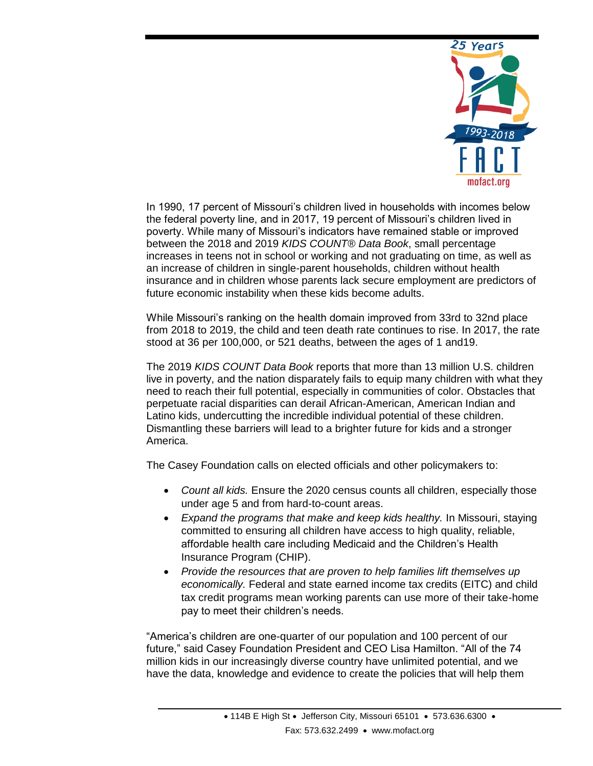

In 1990, 17 percent of Missouri's children lived in households with incomes below the federal poverty line, and in 2017, 19 percent of Missouri's children lived in poverty. While many of Missouri's indicators have remained stable or improved between the 2018 and 2019 *KIDS COUNT® Data Book*, small percentage increases in teens not in school or working and not graduating on time, as well as an increase of children in single-parent households, children without health insurance and in children whose parents lack secure employment are predictors of future economic instability when these kids become adults.

While Missouri's ranking on the health domain improved from 33rd to 32nd place from 2018 to 2019, the child and teen death rate continues to rise. In 2017, the rate stood at 36 per 100,000, or 521 deaths, between the ages of 1 and19.

The 2019 *KIDS COUNT Data Book* reports that more than 13 million U.S. children live in poverty, and the nation disparately fails to equip many children with what they need to reach their full potential, especially in communities of color. Obstacles that perpetuate racial disparities can derail African-American, American Indian and Latino kids, undercutting the incredible individual potential of these children. Dismantling these barriers will lead to a brighter future for kids and a stronger America.

The Casey Foundation calls on elected officials and other policymakers to:

- *Count all kids.* Ensure the 2020 census counts all children, especially those under age 5 and from hard-to-count areas.
- *Expand the programs that make and keep kids healthy.* In Missouri, staying committed to ensuring all children have access to high quality, reliable, affordable health care including Medicaid and the Children's Health Insurance Program (CHIP).
- *Provide the resources that are proven to help families lift themselves up economically.* Federal and state earned income tax credits (EITC) and child tax credit programs mean working parents can use more of their take-home pay to meet their children's needs.

"America's children are one-quarter of our population and 100 percent of our future," said Casey Foundation President and CEO Lisa Hamilton. "All of the 74 million kids in our increasingly diverse country have unlimited potential, and we have the data, knowledge and evidence to create the policies that will help them